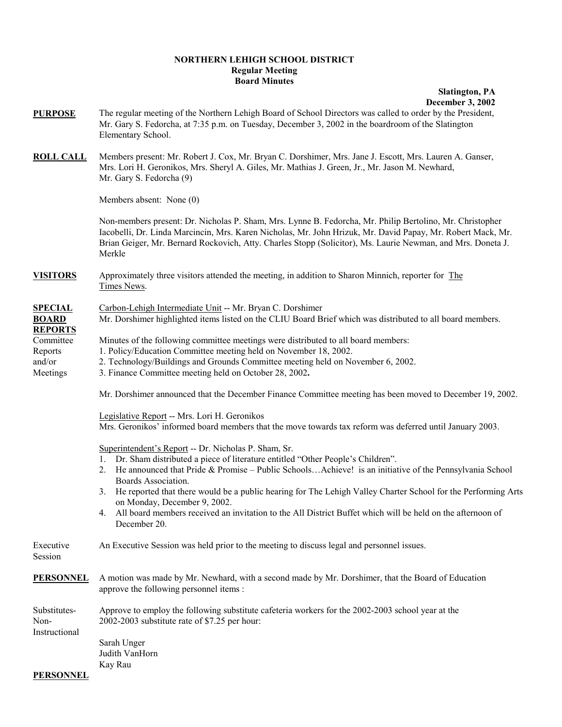## **NORTHERN LEHIGH SCHOOL DISTRICT Regular Meeting Board Minutes**

## **Slatington, PA**

 **December 3, 2002**

| <b>PURPOSE</b>                                               | The regular meeting of the Northern Lehigh Board of School Directors was called to order by the President,<br>Mr. Gary S. Fedorcha, at 7:35 p.m. on Tuesday, December 3, 2002 in the boardroom of the Slatington<br>Elementary School.                                                                                                                                                                                                                                                                                                                                   |  |  |  |
|--------------------------------------------------------------|--------------------------------------------------------------------------------------------------------------------------------------------------------------------------------------------------------------------------------------------------------------------------------------------------------------------------------------------------------------------------------------------------------------------------------------------------------------------------------------------------------------------------------------------------------------------------|--|--|--|
| <b>ROLL CALL</b>                                             | Members present: Mr. Robert J. Cox, Mr. Bryan C. Dorshimer, Mrs. Jane J. Escott, Mrs. Lauren A. Ganser,<br>Mrs. Lori H. Geronikos, Mrs. Sheryl A. Giles, Mr. Mathias J. Green, Jr., Mr. Jason M. Newhard,<br>Mr. Gary S. Fedorcha (9)                                                                                                                                                                                                                                                                                                                                    |  |  |  |
|                                                              | Members absent: None (0)                                                                                                                                                                                                                                                                                                                                                                                                                                                                                                                                                 |  |  |  |
|                                                              | Non-members present: Dr. Nicholas P. Sham, Mrs. Lynne B. Fedorcha, Mr. Philip Bertolino, Mr. Christopher<br>Iacobelli, Dr. Linda Marcincin, Mrs. Karen Nicholas, Mr. John Hrizuk, Mr. David Papay, Mr. Robert Mack, Mr.<br>Brian Geiger, Mr. Bernard Rockovich, Atty. Charles Stopp (Solicitor), Ms. Laurie Newman, and Mrs. Doneta J.<br>Merkle                                                                                                                                                                                                                         |  |  |  |
| <b>VISITORS</b>                                              | Approximately three visitors attended the meeting, in addition to Sharon Minnich, reporter for The<br>Times News.                                                                                                                                                                                                                                                                                                                                                                                                                                                        |  |  |  |
| <b>SPECIAL</b><br><b>BOARD</b>                               | Carbon-Lehigh Intermediate Unit -- Mr. Bryan C. Dorshimer<br>Mr. Dorshimer highlighted items listed on the CLIU Board Brief which was distributed to all board members.                                                                                                                                                                                                                                                                                                                                                                                                  |  |  |  |
| <b>REPORTS</b><br>Committee<br>Reports<br>and/or<br>Meetings | Minutes of the following committee meetings were distributed to all board members:<br>1. Policy/Education Committee meeting held on November 18, 2002.<br>2. Technology/Buildings and Grounds Committee meeting held on November 6, 2002.<br>3. Finance Committee meeting held on October 28, 2002.                                                                                                                                                                                                                                                                      |  |  |  |
|                                                              | Mr. Dorshimer announced that the December Finance Committee meeting has been moved to December 19, 2002.                                                                                                                                                                                                                                                                                                                                                                                                                                                                 |  |  |  |
|                                                              | Legislative Report -- Mrs. Lori H. Geronikos<br>Mrs. Geronikos' informed board members that the move towards tax reform was deferred until January 2003.                                                                                                                                                                                                                                                                                                                                                                                                                 |  |  |  |
|                                                              | Superintendent's Report -- Dr. Nicholas P. Sham, Sr.<br>1. Dr. Sham distributed a piece of literature entitled "Other People's Children".<br>He announced that Pride & Promise – Public SchoolsAchieve! is an initiative of the Pennsylvania School<br>2.<br>Boards Association.<br>He reported that there would be a public hearing for The Lehigh Valley Charter School for the Performing Arts<br>3.<br>on Monday, December 9, 2002.<br>4. All board members received an invitation to the All District Buffet which will be held on the afternoon of<br>December 20. |  |  |  |
| Executive<br>Session                                         | An Executive Session was held prior to the meeting to discuss legal and personnel issues.                                                                                                                                                                                                                                                                                                                                                                                                                                                                                |  |  |  |
| <b>PERSONNEL</b>                                             | A motion was made by Mr. Newhard, with a second made by Mr. Dorshimer, that the Board of Education<br>approve the following personnel items :                                                                                                                                                                                                                                                                                                                                                                                                                            |  |  |  |
| Substitutes-<br>Non-                                         | Approve to employ the following substitute cafeteria workers for the 2002-2003 school year at the<br>2002-2003 substitute rate of \$7.25 per hour:                                                                                                                                                                                                                                                                                                                                                                                                                       |  |  |  |
| Instructional                                                | Sarah Unger<br>Judith VanHorn<br>Kay Rau                                                                                                                                                                                                                                                                                                                                                                                                                                                                                                                                 |  |  |  |
| <b>PERSONNEL</b>                                             |                                                                                                                                                                                                                                                                                                                                                                                                                                                                                                                                                                          |  |  |  |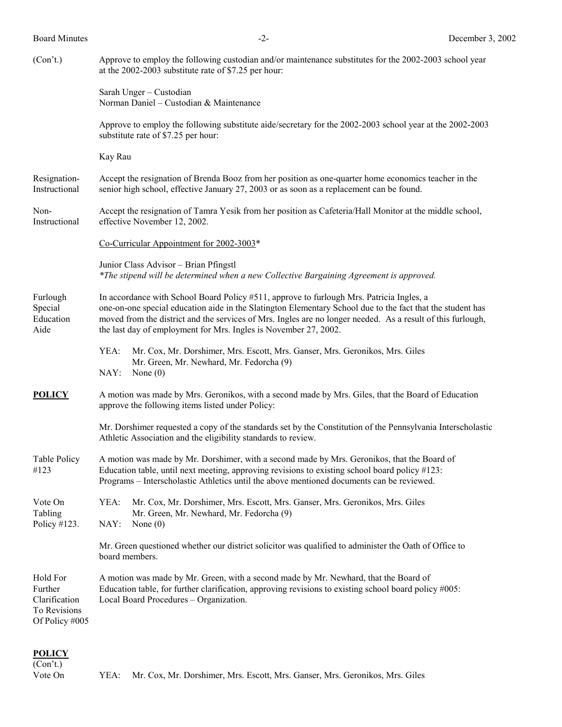| (Con't.)                                                               | Approve to employ the following custodian and/or maintenance substitutes for the 2002-2003 school year<br>at the 2002-2003 substitute rate of \$7.25 per hour:                                                                                                                                                                                                                            |  |  |
|------------------------------------------------------------------------|-------------------------------------------------------------------------------------------------------------------------------------------------------------------------------------------------------------------------------------------------------------------------------------------------------------------------------------------------------------------------------------------|--|--|
|                                                                        | Sarah Unger - Custodian<br>Norman Daniel - Custodian & Maintenance                                                                                                                                                                                                                                                                                                                        |  |  |
|                                                                        | Approve to employ the following substitute aide/secretary for the 2002-2003 school year at the 2002-2003<br>substitute rate of \$7.25 per hour:                                                                                                                                                                                                                                           |  |  |
|                                                                        | Kay Rau                                                                                                                                                                                                                                                                                                                                                                                   |  |  |
| Resignation-<br>Instructional                                          | Accept the resignation of Brenda Booz from her position as one-quarter home economics teacher in the<br>senior high school, effective January 27, 2003 or as soon as a replacement can be found.                                                                                                                                                                                          |  |  |
| Non-<br>Instructional                                                  | Accept the resignation of Tamra Yesik from her position as Cafeteria/Hall Monitor at the middle school,<br>effective November 12, 2002.                                                                                                                                                                                                                                                   |  |  |
|                                                                        | Co-Curricular Appointment for 2002-3003*                                                                                                                                                                                                                                                                                                                                                  |  |  |
|                                                                        | Junior Class Advisor - Brian Pfingstl<br>*The stipend will be determined when a new Collective Bargaining Agreement is approved.                                                                                                                                                                                                                                                          |  |  |
| Furlough<br>Special<br>Education<br>Aide                               | In accordance with School Board Policy #511, approve to furlough Mrs. Patricia Ingles, a<br>one-on-one special education aide in the Slatington Elementary School due to the fact that the student has<br>moved from the district and the services of Mrs. Ingles are no longer needed. As a result of this furlough,<br>the last day of employment for Mrs. Ingles is November 27, 2002. |  |  |
|                                                                        | Mr. Cox, Mr. Dorshimer, Mrs. Escott, Mrs. Ganser, Mrs. Geronikos, Mrs. Giles<br>YEA:<br>Mr. Green, Mr. Newhard, Mr. Fedorcha (9)<br>NAY:<br>None $(0)$                                                                                                                                                                                                                                    |  |  |
| <b>POLICY</b>                                                          | A motion was made by Mrs. Geronikos, with a second made by Mrs. Giles, that the Board of Education<br>approve the following items listed under Policy:                                                                                                                                                                                                                                    |  |  |
|                                                                        | Mr. Dorshimer requested a copy of the standards set by the Constitution of the Pennsylvania Interscholastic<br>Athletic Association and the eligibility standards to review.                                                                                                                                                                                                              |  |  |
| Table Policy<br>#123                                                   | A motion was made by Mr. Dorshimer, with a second made by Mrs. Geronikos, that the Board of<br>Education table, until next meeting, approving revisions to existing school board policy #123:<br>Programs - Interscholastic Athletics until the above mentioned documents can be reviewed.                                                                                                |  |  |
| Vote On<br>Tabling<br>Policy #123.                                     | YEA:<br>Mr. Cox, Mr. Dorshimer, Mrs. Escott, Mrs. Ganser, Mrs. Geronikos, Mrs. Giles<br>Mr. Green, Mr. Newhard, Mr. Fedorcha (9)<br>NAY:<br>None $(0)$                                                                                                                                                                                                                                    |  |  |
|                                                                        | Mr. Green questioned whether our district solicitor was qualified to administer the Oath of Office to<br>board members.                                                                                                                                                                                                                                                                   |  |  |
| Hold For<br>Further<br>Clarification<br>To Revisions<br>Of Policy #005 | A motion was made by Mr. Green, with a second made by Mr. Newhard, that the Board of<br>Education table, for further clarification, approving revisions to existing school board policy #005:<br>Local Board Procedures - Organization.                                                                                                                                                   |  |  |

## **POLICY**

(Con't.)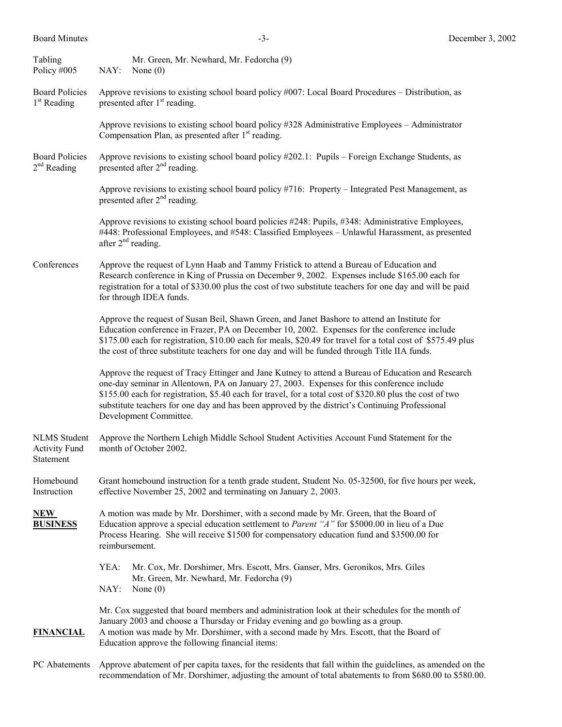| Tabling<br>Policy #005                                   | NAY:                                                                                                                                                                                                                                                                                                                               | Mr. Green, Mr. Newhard, Mr. Fedorcha (9)<br>None $(0)$                                                                                                                                                                                                                                                                                                                                                                                     |  |  |
|----------------------------------------------------------|------------------------------------------------------------------------------------------------------------------------------------------------------------------------------------------------------------------------------------------------------------------------------------------------------------------------------------|--------------------------------------------------------------------------------------------------------------------------------------------------------------------------------------------------------------------------------------------------------------------------------------------------------------------------------------------------------------------------------------------------------------------------------------------|--|--|
| <b>Board Policies</b><br>$1st$ Reading                   | Approve revisions to existing school board policy $#007$ : Local Board Procedures – Distribution, as<br>presented after 1 <sup>st</sup> reading.                                                                                                                                                                                   |                                                                                                                                                                                                                                                                                                                                                                                                                                            |  |  |
|                                                          |                                                                                                                                                                                                                                                                                                                                    | Approve revisions to existing school board policy #328 Administrative Employees - Administrator<br>Compensation Plan, as presented after 1 <sup>st</sup> reading.                                                                                                                                                                                                                                                                          |  |  |
| <b>Board Policies</b><br>$2nd$ Reading                   | Approve revisions to existing school board policy #202.1: Pupils – Foreign Exchange Students, as<br>presented after $2nd$ reading.                                                                                                                                                                                                 |                                                                                                                                                                                                                                                                                                                                                                                                                                            |  |  |
|                                                          |                                                                                                                                                                                                                                                                                                                                    | Approve revisions to existing school board policy #716: Property – Integrated Pest Management, as<br>presented after 2 <sup>nd</sup> reading.                                                                                                                                                                                                                                                                                              |  |  |
|                                                          |                                                                                                                                                                                                                                                                                                                                    | Approve revisions to existing school board policies #248: Pupils, #348: Administrative Employees,<br>#448: Professional Employees, and #548: Classified Employees - Unlawful Harassment, as presented<br>after $2nd$ reading.                                                                                                                                                                                                              |  |  |
| Conferences                                              | Approve the request of Lynn Haab and Tammy Fristick to attend a Bureau of Education and<br>Research conference in King of Prussia on December 9, 2002. Expenses include \$165.00 each for<br>registration for a total of \$330.00 plus the cost of two substitute teachers for one day and will be paid<br>for through IDEA funds. |                                                                                                                                                                                                                                                                                                                                                                                                                                            |  |  |
|                                                          |                                                                                                                                                                                                                                                                                                                                    | Approve the request of Susan Beil, Shawn Green, and Janet Bashore to attend an Institute for<br>Education conference in Frazer, PA on December 10, 2002. Expenses for the conference include<br>\$175.00 each for registration, \$10.00 each for meals, \$20.49 for travel for a total cost of \$575.49 plus<br>the cost of three substitute teachers for one day and will be funded through Title IIA funds.                              |  |  |
|                                                          |                                                                                                                                                                                                                                                                                                                                    | Approve the request of Tracy Ettinger and Jane Kutney to attend a Bureau of Education and Research<br>one-day seminar in Allentown, PA on January 27, 2003. Expenses for this conference include<br>\$155.00 each for registration, \$5.40 each for travel, for a total cost of \$320.80 plus the cost of two<br>substitute teachers for one day and has been approved by the district's Continuing Professional<br>Development Committee. |  |  |
| <b>NLMS</b> Student<br><b>Activity Fund</b><br>Statement | Approve the Northern Lehigh Middle School Student Activities Account Fund Statement for the<br>month of October 2002.                                                                                                                                                                                                              |                                                                                                                                                                                                                                                                                                                                                                                                                                            |  |  |
| Homebound<br>Instruction                                 | Grant homebound instruction for a tenth grade student, Student No. 05-32500, for five hours per week,<br>effective November 25, 2002 and terminating on January 2, 2003.                                                                                                                                                           |                                                                                                                                                                                                                                                                                                                                                                                                                                            |  |  |
| <b>NEW</b><br><b>BUSINESS</b>                            | A motion was made by Mr. Dorshimer, with a second made by Mr. Green, that the Board of<br>Education approve a special education settlement to <i>Parent</i> "A" for \$5000.00 in lieu of a Due<br>Process Hearing. She will receive \$1500 for compensatory education fund and \$3500.00 for<br>reimbursement.                     |                                                                                                                                                                                                                                                                                                                                                                                                                                            |  |  |
|                                                          | YEA:<br>NAY:                                                                                                                                                                                                                                                                                                                       | Mr. Cox, Mr. Dorshimer, Mrs. Escott, Mrs. Ganser, Mrs. Geronikos, Mrs. Giles<br>Mr. Green, Mr. Newhard, Mr. Fedorcha (9)<br>None $(0)$                                                                                                                                                                                                                                                                                                     |  |  |
| <b>FINANCIAL</b>                                         |                                                                                                                                                                                                                                                                                                                                    | Mr. Cox suggested that board members and administration look at their schedules for the month of<br>January 2003 and choose a Thursday or Friday evening and go bowling as a group.<br>A motion was made by Mr. Dorshimer, with a second made by Mrs. Escott, that the Board of<br>Education approve the following financial items:                                                                                                        |  |  |
| PC Abatements                                            | Approve abatement of per capita taxes, for the residents that fall within the guidelines, as amended on the<br>recommendation of Mr. Dorshimer, adjusting the amount of total abatements to from \$680.00 to \$580.00.                                                                                                             |                                                                                                                                                                                                                                                                                                                                                                                                                                            |  |  |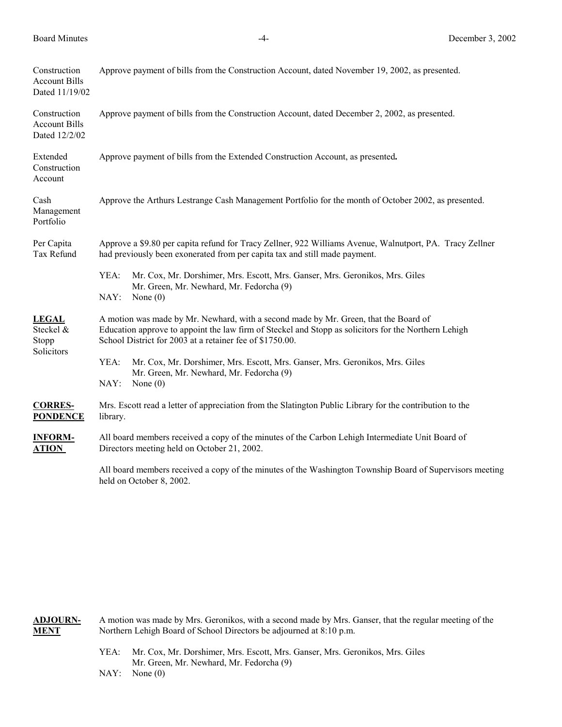| Construction<br><b>Account Bills</b><br>Dated 11/19/02 | Approve payment of bills from the Construction Account, dated November 19, 2002, as presented.                                                                                                                                                           |  |  |  |
|--------------------------------------------------------|----------------------------------------------------------------------------------------------------------------------------------------------------------------------------------------------------------------------------------------------------------|--|--|--|
| Construction<br><b>Account Bills</b><br>Dated 12/2/02  | Approve payment of bills from the Construction Account, dated December 2, 2002, as presented.                                                                                                                                                            |  |  |  |
| Extended<br>Construction<br>Account                    | Approve payment of bills from the Extended Construction Account, as presented.                                                                                                                                                                           |  |  |  |
| Cash<br>Management<br>Portfolio                        | Approve the Arthurs Lestrange Cash Management Portfolio for the month of October 2002, as presented.                                                                                                                                                     |  |  |  |
| Per Capita<br>Tax Refund                               | Approve a \$9.80 per capita refund for Tracy Zellner, 922 Williams Avenue, Walnutport, PA. Tracy Zellner<br>had previously been exonerated from per capita tax and still made payment.                                                                   |  |  |  |
|                                                        | YEA:<br>Mr. Cox, Mr. Dorshimer, Mrs. Escott, Mrs. Ganser, Mrs. Geronikos, Mrs. Giles<br>Mr. Green, Mr. Newhard, Mr. Fedorcha (9)<br>NAY:<br>None $(0)$                                                                                                   |  |  |  |
| <b>LEGAL</b><br>Steckel &<br>Stopp<br>Solicitors       | A motion was made by Mr. Newhard, with a second made by Mr. Green, that the Board of<br>Education approve to appoint the law firm of Steckel and Stopp as solicitors for the Northern Lehigh<br>School District for 2003 at a retainer fee of \$1750.00. |  |  |  |
|                                                        | YEA:<br>Mr. Cox, Mr. Dorshimer, Mrs. Escott, Mrs. Ganser, Mrs. Geronikos, Mrs. Giles<br>Mr. Green, Mr. Newhard, Mr. Fedorcha (9)<br>NAY:<br>None $(0)$                                                                                                   |  |  |  |
| <b>CORRES-</b><br><b>PONDENCE</b>                      | Mrs. Escott read a letter of appreciation from the Slatington Public Library for the contribution to the<br>library.                                                                                                                                     |  |  |  |
| <b>INFORM-</b><br><b>ATION</b>                         | All board members received a copy of the minutes of the Carbon Lehigh Intermediate Unit Board of<br>Directors meeting held on October 21, 2002.                                                                                                          |  |  |  |
|                                                        | All board members received a copy of the minutes of the Washington Township Board of Supervisors meeting                                                                                                                                                 |  |  |  |

**ADJOURN-** A motion was made by Mrs. Geronikos, with a second made by Mrs. Ganser, that the regular meeting of the **MENT** Northern Lehigh Board of School Directors be adjourned at 8:10 p.m.

- YEA: Mr. Cox, Mr. Dorshimer, Mrs. Escott, Mrs. Ganser, Mrs. Geronikos, Mrs. Giles Mr. Green, Mr. Newhard, Mr. Fedorcha (9)
- NAY: None (0)

held on October 8, 2002.